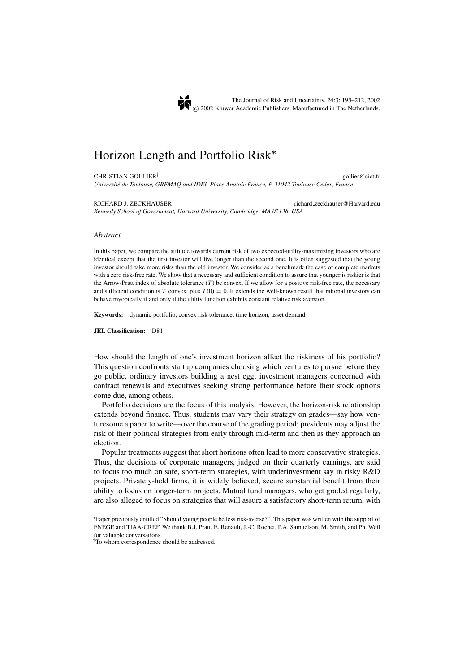# Horizon Length and Portfolio Risk*∗*

CHRISTIAN GOLLIER<sup>†</sup> gollier@cict.fr *Universite de Toulouse, GREMAQ and IDEI, Place Anatole France, F-31042 Toulouse Cedex, France ´*

RICHARD J. ZECKHAUSER and the state of the richard zeckhauser@Harvard.edu *Kennedy School of Government, Harvard University, Cambridge, MA 02138, USA*

#### *Abstract*

In this paper, we compare the attitude towards current risk of two expected-utility-maximizing investors who are identical except that the first investor will live longer than the second one. It is often suggested that the young investor should take more risks than the old investor. We consider as a benchmark the case of complete markets with a zero risk-free rate. We show that a necessary and sufficient condition to assure that younger is riskier is that the Arrow-Pratt index of absolute tolerance (*T* ) be convex. If we allow for a positive risk-free rate, the necessary and sufficient condition is *T* convex, plus  $T(0) = 0$ . It extends the well-known result that rational investors can behave myopically if and only if the utility function exhibits constant relative risk aversion.

**Keywords:** dynamic portfolio, convex risk tolerance, time horizon, asset demand

**JEL Classification:** D81

How should the length of one's investment horizon affect the riskiness of his portfolio? This question confronts startup companies choosing which ventures to pursue before they go public, ordinary investors building a nest egg, investment managers concerned with contract renewals and executives seeking strong performance before their stock options come due, among others.

Portfolio decisions are the focus of this analysis. However, the horizon-risk relationship extends beyond finance. Thus, students may vary their strategy on grades—say how venturesome a paper to write—over the course of the grading period; presidents may adjust the risk of their political strategies from early through mid-term and then as they approach an election.

Popular treatments suggest that short horizons often lead to more conservative strategies. Thus, the decisions of corporate managers, judged on their quarterly earnings, are said to focus too much on safe, short-term strategies, with underinvestment say in risky R&D projects. Privately-held firms, it is widely believed, secure substantial benefit from their ability to focus on longer-term projects. Mutual fund managers, who get graded regularly, are also alleged to focus on strategies that will assure a satisfactory short-term return, with

∗Paper previously entitled "Should young people be less risk-averse?". This paper was written with the support of FNEGE and TIAA-CREF. We thank B.J. Pratt, E. Renault, J.-C. Rochet, P.A. Samuelson, M. Smith, and Ph. Weil for valuable conversations.

†To whom correspondence should be addressed.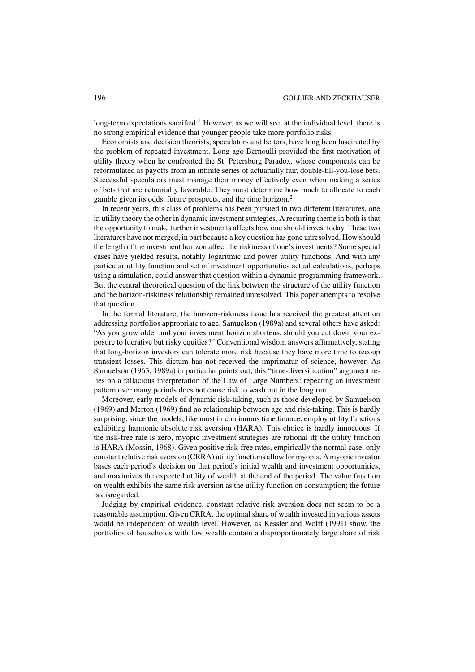long-term expectations sacrified.<sup>1</sup> However, as we will see, at the individual level, there is no strong empirical evidence that younger people take more portfolio risks.

Economists and decision theorists, speculators and bettors, have long been fascinated by the problem of repeated investment. Long ago Bernoulli provided the first motivation of utility theory when he confronted the St. Petersburg Paradox, whose components can be reformulated as payoffs from an infinite series of actuarially fair, double-till-you-lose bets. Successful speculators must manage their money effectively even when making a series of bets that are actuarially favorable. They must determine how much to allocate to each gamble given its odds, future prospects, and the time horizon.2

In recent years, this class of problems has been pursued in two different literatures, one in utility theory the other in dynamic investment strategies. A recurring theme in both is that the opportunity to make further investments affects how one should invest today. These two literatures have not merged, in part because a key question has gone unresolved. How should the length of the investment horizon affect the riskiness of one's investments? Some special cases have yielded results, notably logaritmic and power utility functions. And with any particular utility function and set of investment opportunities actual calculations, perhaps using a simulation, could answer that question within a dynamic programming framework. But the central theoretical question of the link between the structure of the utility function and the horizon-riskiness relationship remained unresolved. This paper attempts to resolve that question.

In the formal literature, the horizon-riskiness issue has received the greatest attention addressing portfolios appropriate to age. Samuelson (1989a) and several others have asked: "As you grow older and your investment horizon shortens, should you cut down your exposure to lucrative but risky equities?" Conventional wisdom answers affirmatively, stating that long-horizon investors can tolerate more risk because they have more time to recoup transient losses. This dictum has not received the imprimatur of science, however. As Samuelson (1963, 1989a) in particular points out, this "time-diversification" argument relies on a fallacious interpretation of the Law of Large Numbers: repeating an investment pattern over many periods does not cause risk to wash out in the long run.

Moreover, early models of dynamic risk-taking, such as those developed by Samuelson (1969) and Merton (1969) find no relationship between age and risk-taking. This is hardly surprising, since the models, like most in continuous time finance, employ utility functions exhibiting harmonic absolute risk aversion (HARA). This choice is hardly innocuous: If the risk-free rate is zero, myopic investment strategies are rational iff the utility function is HARA (Mossin, 1968). Given positive risk-free rates, empirically the normal case, only constant relative risk aversion (CRRA) utility functions allow for myopia. A myopic investor bases each period's decision on that period's initial wealth and investment opportunities, and maximizes the expected utility of wealth at the end of the period. The value function on wealth exhibits the same risk aversion as the utility function on consumption; the future is disregarded.

Judging by empirical evidence, constant relative risk aversion does not seem to be a reasonable assumption. Given CRRA, the optimal share of wealth invested in various assets would be independent of wealth level. However, as Kessler and Wolff (1991) show, the portfolios of households with low wealth contain a disproportionately large share of risk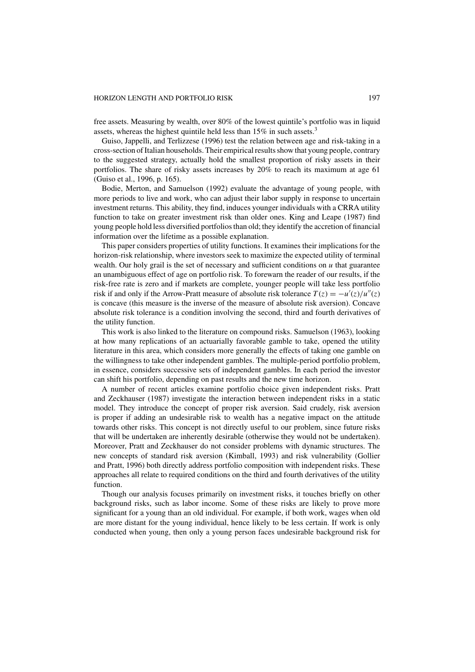free assets. Measuring by wealth, over 80% of the lowest quintile's portfolio was in liquid assets, whereas the highest quintile held less than 15% in such assets.<sup>3</sup>

Guiso, Jappelli, and Terlizzese (1996) test the relation between age and risk-taking in a cross-section of Italian households. Their empirical results show that young people, contrary to the suggested strategy, actually hold the smallest proportion of risky assets in their portfolios. The share of risky assets increases by 20% to reach its maximum at age 61 (Guiso et al., 1996, p. 165).

Bodie, Merton, and Samuelson (1992) evaluate the advantage of young people, with more periods to live and work, who can adjust their labor supply in response to uncertain investment returns. This ability, they find, induces younger individuals with a CRRA utility function to take on greater investment risk than older ones. King and Leape (1987) find young people hold less diversified portfolios than old; they identify the accretion of financial information over the lifetime as a possible explanation.

This paper considers properties of utility functions. It examines their implications for the horizon-risk relationship, where investors seek to maximize the expected utility of terminal wealth. Our holy grail is the set of necessary and sufficient conditions on  $u$  that guarantee an unambiguous effect of age on portfolio risk. To forewarn the reader of our results, if the risk-free rate is zero and if markets are complete, younger people will take less portfolio risk if and only if the Arrow-Pratt measure of absolute risk tolerance  $T(z) = -u'(z)/u''(z)$ is concave (this measure is the inverse of the measure of absolute risk aversion). Concave absolute risk tolerance is a condition involving the second, third and fourth derivatives of the utility function.

This work is also linked to the literature on compound risks. Samuelson (1963), looking at how many replications of an actuarially favorable gamble to take, opened the utility literature in this area, which considers more generally the effects of taking one gamble on the willingness to take other independent gambles. The multiple-period portfolio problem, in essence, considers successive sets of independent gambles. In each period the investor can shift his portfolio, depending on past results and the new time horizon.

A number of recent articles examine portfolio choice given independent risks. Pratt and Zeckhauser (1987) investigate the interaction between independent risks in a static model. They introduce the concept of proper risk aversion. Said crudely, risk aversion is proper if adding an undesirable risk to wealth has a negative impact on the attitude towards other risks. This concept is not directly useful to our problem, since future risks that will be undertaken are inherently desirable (otherwise they would not be undertaken). Moreover, Pratt and Zeckhauser do not consider problems with dynamic structures. The new concepts of standard risk aversion (Kimball, 1993) and risk vulnerability (Gollier and Pratt, 1996) both directly address portfolio composition with independent risks. These approaches all relate to required conditions on the third and fourth derivatives of the utility function.

Though our analysis focuses primarily on investment risks, it touches briefly on other background risks, such as labor income. Some of these risks are likely to prove more significant for a young than an old individual. For example, if both work, wages when old are more distant for the young individual, hence likely to be less certain. If work is only conducted when young, then only a young person faces undesirable background risk for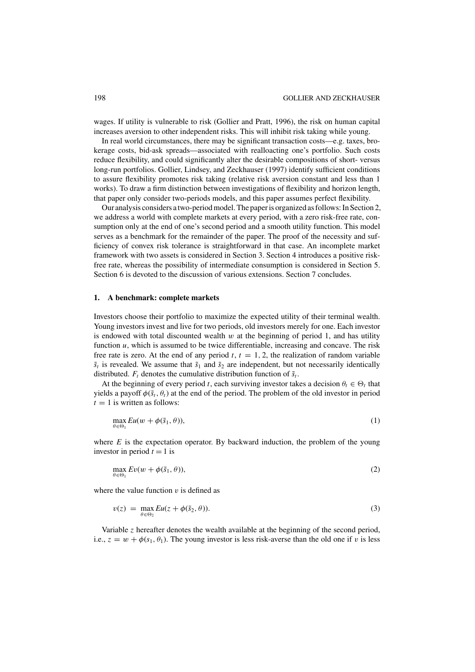#### 198 GOLLIER AND ZECKHAUSER

wages. If utility is vulnerable to risk (Gollier and Pratt, 1996), the risk on human capital increases aversion to other independent risks. This will inhibit risk taking while young.

In real world circumstances, there may be significant transaction costs—e.g. taxes, brokerage costs, bid-ask spreads—associated with realloacting one's portfolio. Such costs reduce flexibility, and could significantly alter the desirable compositions of short- versus long-run portfolios. Gollier, Lindsey, and Zeckhauser (1997) identify sufficient conditions to assure flexibility promotes risk taking (relative risk aversion constant and less than 1 works). To draw a firm distinction between investigations of flexibility and horizon length, that paper only consider two-periods models, and this paper assumes perfect flexibility.

Our analysis considers a two-period model. The paper is organized as follows: In Section 2, we address a world with complete markets at every period, with a zero risk-free rate, consumption only at the end of one's second period and a smooth utility function. This model serves as a benchmark for the remainder of the paper. The proof of the necessity and sufficiency of convex risk tolerance is straightforward in that case. An incomplete market framework with two assets is considered in Section 3. Section 4 introduces a positive riskfree rate, whereas the possibility of intermediate consumption is considered in Section 5. Section 6 is devoted to the discussion of various extensions. Section 7 concludes.

#### **1. A benchmark: complete markets**

Investors choose their portfolio to maximize the expected utility of their terminal wealth. Young investors invest and live for two periods, old investors merely for one. Each investor is endowed with total discounted wealth  $w$  at the beginning of period 1, and has utility function  $u$ , which is assumed to be twice differentiable, increasing and concave. The risk free rate is zero. At the end of any period  $t$ ,  $t = 1, 2$ , the realization of random variable  $\tilde{s}_t$  is revealed. We assume that  $\tilde{s}_1$  and  $\tilde{s}_2$  are independent, but not necessarily identically distributed.  $F_t$  denotes the cumulative distribution function of  $\tilde{s}_t$ .

At the beginning of every period *t*, each surviving investor takes a decision  $\theta_t \in \Theta$ , that yields a payoff  $\phi(\tilde{s}_t, \theta_t)$  at the end of the period. The problem of the old investor in period  $t = 1$  is written as follows:

$$
\max_{\theta \in \Theta_1} Eu(w + \phi(\tilde{s}_1, \theta)),\tag{1}
$$

where  $E$  is the expectation operator. By backward induction, the problem of the young investor in period  $t = 1$  is

$$
\max_{\theta \in \Theta_1} Ev(w + \phi(\tilde{s}_1, \theta)),\tag{2}
$$

where the value function  $v$  is defined as

$$
v(z) = \max_{\theta \in \Theta_2} Eu(z + \phi(\tilde{s}_2, \theta)).
$$
\n(3)

Variable *z* hereafter denotes the wealth available at the beginning of the second period, i.e.,  $z = w + \phi(s_1, \theta_1)$ . The young investor is less risk-averse than the old one if v is less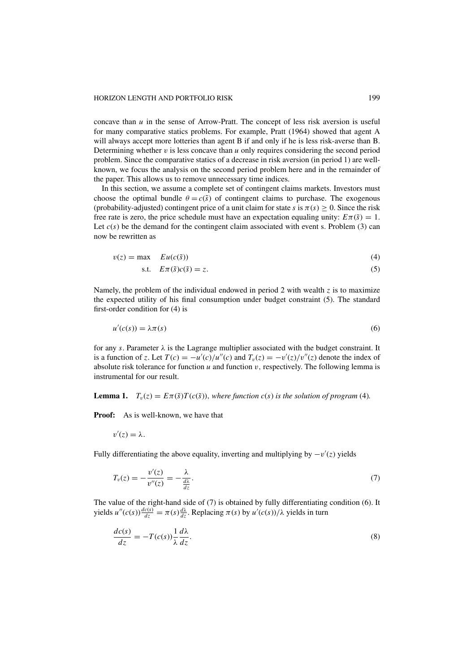concave than  $u$  in the sense of Arrow-Pratt. The concept of less risk aversion is useful for many comparative statics problems. For example, Pratt (1964) showed that agent A will always accept more lotteries than agent B if and only if he is less risk-averse than B. Determining whether  $v$  is less concave than  $u$  only requires considering the second period problem. Since the comparative statics of a decrease in risk aversion (in period 1) are wellknown, we focus the analysis on the second period problem here and in the remainder of the paper. This allows us to remove unnecessary time indices.

In this section, we assume a complete set of contingent claims markets. Investors must choose the optimal bundle  $\theta = c(\tilde{s})$  of contingent claims to purchase. The exogenous (probability-adjusted) contingent price of a unit claim for state *s* is  $\pi(s) > 0$ . Since the risk free rate is zero, the price schedule must have an expectation equaling unity:  $E\pi(\tilde{s}) = 1$ . Let  $c(s)$  be the demand for the contingent claim associated with event s. Problem (3) can now be rewritten as

$$
v(z) = \max \quad Eu(c(\tilde{s})) \tag{4}
$$

$$
\text{s.t.} \quad E\pi(\tilde{s})c(\tilde{s}) = z. \tag{5}
$$

Namely, the problem of the individual endowed in period 2 with wealth *z* is to maximize the expected utility of his final consumption under budget constraint (5). The standard first-order condition for (4) is

$$
u'(c(s)) = \lambda \pi(s) \tag{6}
$$

for any *s*. Parameter  $\lambda$  is the Lagrange multiplier associated with the budget constraint. It is a function of *z*. Let  $T(c) = -u'(c)/u''(c)$  and  $T_v(z) = -v'(z)/v''(z)$  denote the index of absolute risk tolerance for function  $u$  and function  $v$ , respectively. The following lemma is instrumental for our result.

#### **Lemma 1.**  $T_v(z) = E \pi(\tilde{s}) T(c(\tilde{s}))$ , where function  $c(s)$  is the solution of program (4).

**Proof:** As is well-known, we have that

$$
v'(z)=\lambda.
$$

Fully differentiating the above equality, inverting and multiplying by  $-v'(z)$  yields

$$
T_v(z) = -\frac{v'(z)}{v''(z)} = -\frac{\lambda}{\frac{d\lambda}{dz}}.\tag{7}
$$

The value of the right-hand side of (7) is obtained by fully differentiating condition (6). It yields  $u''(c(s))\frac{dc(s)}{dz} = \pi(s)\frac{d\lambda}{dz}$ . Replacing  $\pi(s)$  by  $u'(c(s))/\lambda$  yields in turn

$$
\frac{dc(s)}{dz} = -T(c(s))\frac{1}{\lambda}\frac{d\lambda}{dz}.
$$
\n(8)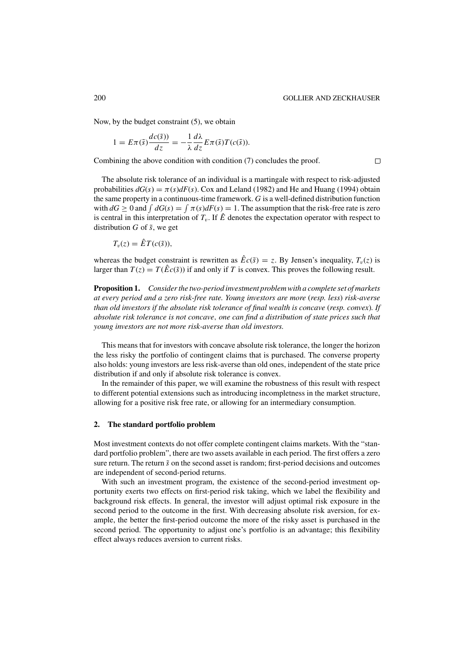$\Box$ 

Now, by the budget constraint (5), we obtain

$$
1 = E\pi(\tilde{s})\frac{dc(\tilde{s}))}{dz} = -\frac{1}{\lambda}\frac{d\lambda}{dz}E\pi(\tilde{s})T(c(\tilde{s})).
$$

Combining the above condition with condition (7) concludes the proof.

The absolute risk tolerance of an individual is a martingale with respect to risk-adjusted probabilities  $dG(s) = \pi(s) dF(s)$ . Cox and Leland (1982) and He and Huang (1994) obtain the same property in a continuous-time framework. *G* is a well-defined distribution function with  $dG \ge 0$  and  $\int dG(s) = \int \pi(s) dF(s) = 1$ . The assumption that the risk-free rate is zero is central in this interpretation of  $T_v$ . If  $\hat{E}$  denotes the expectation operator with respect to distribution  $G$  of  $\tilde{s}$ , we get

$$
T_v(z) = \hat{E} T(c(\tilde{s})),
$$

whereas the budget constraint is rewritten as  $\hat{E}c(\tilde{s}) = z$ . By Jensen's inequality,  $T_v(z)$  is larger than  $T(z) = T(\hat{E}c(\tilde{s}))$  if and only if *T* is convex. This proves the following result.

**Proposition 1.** *Consider the two-period investment problem with a complete set of markets at every period and a zero risk-free rate. Young investors are more* (*resp. less*) *risk-averse than old investors if the absolute risk tolerance of final wealth is concave* (*resp. convex*)*. If absolute risk tolerance is not concave*, *one can find a distribution of state prices such that young investors are not more risk-averse than old investors.*

This means that for investors with concave absolute risk tolerance, the longer the horizon the less risky the portfolio of contingent claims that is purchased. The converse property also holds: young investors are less risk-averse than old ones, independent of the state price distribution if and only if absolute risk tolerance is convex.

In the remainder of this paper, we will examine the robustness of this result with respect to different potential extensions such as introducing incompletness in the market structure, allowing for a positive risk free rate, or allowing for an intermediary consumption.

#### **2. The standard portfolio problem**

Most investment contexts do not offer complete contingent claims markets. With the "standard portfolio problem", there are two assets available in each period. The first offers a zero sure return. The return  $\tilde{s}$  on the second asset is random; first-period decisions and outcomes are independent of second-period returns.

With such an investment program, the existence of the second-period investment opportunity exerts two effects on first-period risk taking, which we label the flexibility and background risk effects. In general, the investor will adjust optimal risk exposure in the second period to the outcome in the first. With decreasing absolute risk aversion, for example, the better the first-period outcome the more of the risky asset is purchased in the second period. The opportunity to adjust one's portfolio is an advantage; this flexibility effect always reduces aversion to current risks.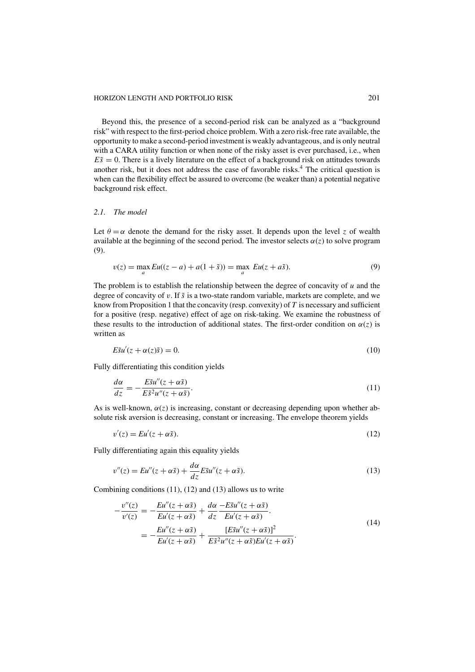#### HORIZON LENGTH AND PORTFOLIO RISK 201

Beyond this, the presence of a second-period risk can be analyzed as a "background risk" with respect to the first-period choice problem. With a zero risk-free rate available, the opportunity to make a second-period investment is weakly advantageous, and is only neutral with a CARA utility function or when none of the risky asset is ever purchased, i.e., when  $E\tilde{s} = 0$ . There is a lively literature on the effect of a background risk on attitudes towards another risk, but it does not address the case of favorable risks.<sup>4</sup> The critical question is when can the flexibility effect be assured to overcome (be weaker than) a potential negative background risk effect.

#### *2.1. The model*

Let  $\theta = \alpha$  denote the demand for the risky asset. It depends upon the level *z* of wealth available at the beginning of the second period. The investor selects  $\alpha(z)$  to solve program (9).

$$
v(z) = \max_{a} Eu((z - a) + a(1 + \tilde{s})) = \max_{a} Eu(z + a\tilde{s}).
$$
 (9)

The problem is to establish the relationship between the degree of concavity of  $u$  and the degree of concavity of v. If  $\tilde{s}$  is a two-state random variable, markets are complete, and we know from Proposition 1 that the concavity (resp. convexity) of *T* is necessary and sufficient for a positive (resp. negative) effect of age on risk-taking. We examine the robustness of these results to the introduction of additional states. The first-order condition on  $\alpha(z)$  is written as

$$
E\tilde{s}u'(z+\alpha(z)\tilde{s})=0.\tag{10}
$$

Fully differentiating this condition yields

$$
\frac{d\alpha}{dz} = -\frac{E\tilde{s}u''(z+\alpha\tilde{s})}{E\tilde{s}^2u''(z+\alpha\tilde{s})}.
$$
\n(11)

As is well-known,  $\alpha(z)$  is increasing, constant or decreasing depending upon whether absolute risk aversion is decreasing, constant or increasing. The envelope theorem yields

$$
v'(z) = Eu'(z + \alpha \tilde{s}).
$$
\n(12)

Fully differentiating again this equality yields

$$
v''(z) = Eu''(z + \alpha \tilde{s}) + \frac{d\alpha}{dz} E \tilde{s} u''(z + \alpha \tilde{s}).
$$
\n(13)

Combining conditions (11), (12) and (13) allows us to write

$$
-\frac{v''(z)}{v'(z)} = -\frac{Eu''(z+\alpha\tilde{s})}{Eu'(z+\alpha\tilde{s})} + \frac{d\alpha}{dz} \frac{-E\tilde{s}u''(z+\alpha\tilde{s})}{Eu'(z+\alpha\tilde{s})}.
$$
  

$$
= -\frac{Eu''(z+\alpha\tilde{s})}{Eu'(z+\alpha\tilde{s})} + \frac{[E\tilde{s}u''(z+\alpha\tilde{s})]^2}{E\tilde{s}^2u''(z+\alpha\tilde{s})Eu'(z+\alpha\tilde{s})}.
$$
(14)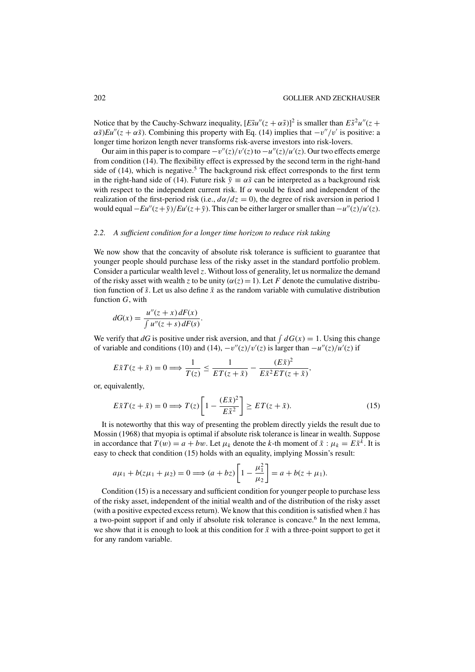Notice that by the Cauchy-Schwarz inequality,  $[E\tilde{s}u''(z+\alpha \tilde{s})]^2$  is smaller than  $E\tilde{s}^2u''(z+\alpha \tilde{s})$  $\alpha \tilde{\mathfrak{s}}$ *)Eu'*( $z + \alpha \tilde{\mathfrak{s}}$ ). Combining this property with Eq. (14) implies that  $-v''/v'$  is positive: a longer time horizon length never transforms risk-averse investors into risk-lovers.

Our aim in this paper is to compare  $-v''(z)/v'(z)$  to  $-u''(z)/u'(z)$ . Our two effects emerge from condition (14). The flexibility effect is expressed by the second term in the right-hand side of  $(14)$ , which is negative.<sup>5</sup> The background risk effect corresponds to the first term in the right-hand side of (14). Future risk  $\tilde{y} \equiv \alpha \tilde{s}$  can be interpreted as a background risk with respect to the independent current risk. If  $\alpha$  would be fixed and independent of the realization of the first-period risk (i.e.,  $d\alpha/dz = 0$ ), the degree of risk aversion in period 1 *would equal*  $-Eu''(z+ \tilde{y})/Eu'(z+ \tilde{y})$ *. This can be either larger or smaller than*  $-u''(z)/u'(z)$ *.* 

## *2.2. A sufficient condition for a longer time horizon to reduce risk taking*

We now show that the concavity of absolute risk tolerance is sufficient to guarantee that younger people should purchase less of the risky asset in the standard portfolio problem. Consider a particular wealth level *z*. Without loss of generality, let us normalize the demand of the risky asset with wealth *z* to be unity ( $\alpha(z) = 1$ ). Let *F* denote the cumulative distribution function of  $\tilde{s}$ . Let us also define  $\tilde{x}$  as the random variable with cumulative distribution function *G*, with

$$
dG(x) = \frac{u''(z+x) dF(x)}{\int u''(z+s) dF(s)}.
$$

We verify that *dG* is positive under risk aversion, and that  $\int dG(x) = 1$ . Using this change of variable and conditions (10) and (14),  $-v''(z)/v'(z)$  is larger than  $-u''(z)/u'(z)$  if

$$
E\tilde{x}T(z+\tilde{x})=0 \Longrightarrow \frac{1}{T(z)} \leq \frac{1}{ET(z+\tilde{x})} - \frac{(E\tilde{x})^2}{E\tilde{x}^2ET(z+\tilde{x})},
$$

or, equivalently,

$$
E\tilde{x}T(z+\tilde{x}) = 0 \Longrightarrow T(z)\left[1 - \frac{(E\tilde{x})^2}{E\tilde{x}^2}\right] \ge ET(z+\tilde{x}).\tag{15}
$$

It is noteworthy that this way of presenting the problem directly yields the result due to Mossin (1968) that myopia is optimal if absolute risk tolerance is linear in wealth. Suppose in accordance that  $T(w) = a + bw$ . Let  $\mu_k$  denote the *k*-th moment of  $\tilde{x} : \mu_k = E \tilde{x}^k$ . It is easy to check that condition (15) holds with an equality, implying Mossin's result:

$$
a\mu_1 + b(z\mu_1 + \mu_2) = 0 \Longrightarrow (a + bz) \left[ 1 - \frac{\mu_1^2}{\mu_2} \right] = a + b(z + \mu_1).
$$

Condition (15) is a necessary and sufficient condition for younger people to purchase less of the risky asset, independent of the initial wealth and of the distribution of the risky asset (with a positive expected excess return). We know that this condition is satisfied when  $\tilde{x}$  has a two-point support if and only if absolute risk tolerance is concave.<sup>6</sup> In the next lemma, we show that it is enough to look at this condition for  $\tilde{x}$  with a three-point support to get it for any random variable.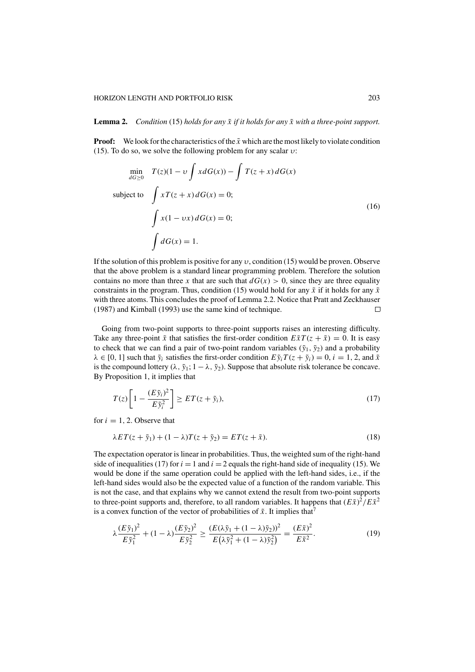**Proof:** We look for the characteristics of the  $\tilde{x}$  which are the most likely to violate condition (15). To do so, we solve the following problem for any scalar  $\upsilon$ :

$$
\min_{dG \ge 0} \quad T(z)(1 - \nu \int x dG(x)) - \int T(z + x) dG(x)
$$
\nsubject to\n
$$
\int xT(z + x) dG(x) = 0;
$$
\n
$$
\int x(1 - \nu x) dG(x) = 0;
$$
\n
$$
\int dG(x) = 1.
$$
\n(16)

If the solution of this problem is positive for any  $v$ , condition (15) would be proven. Observe that the above problem is a standard linear programming problem. Therefore the solution contains no more than three x that are such that  $dG(x) > 0$ , since they are three equality constraints in the program. Thus, condition (15) would hold for any  $\tilde{x}$  if it holds for any  $\tilde{x}$ with three atoms. This concludes the proof of Lemma 2.2. Notice that Pratt and Zeckhauser (1987) and Kimball (1993) use the same kind of technique.  $\Box$ 

Going from two-point supports to three-point supports raises an interesting difficulty. Take any three-point  $\tilde{x}$  that satisfies the first-order condition  $E\tilde{x}T(z + \tilde{x}) = 0$ . It is easy to check that we can find a pair of two-point random variables  $(\tilde{y}_1, \tilde{y}_2)$  and a probability  $\lambda \in [0, 1]$  such that  $\tilde{y}_i$  satisfies the first-order condition  $E \tilde{y}_i T(z + \tilde{y}_i) = 0$ ,  $i = 1, 2$ , and  $\tilde{x}$ is the compound lottery  $(\lambda, \tilde{y}_1; 1 - \lambda, \tilde{y}_2)$ . Suppose that absolute risk tolerance be concave. By Proposition 1, it implies that

$$
T(z)\left[1-\frac{(E\tilde{y}_i)^2}{E\tilde{y}_i^2}\right] \ge ET(z+\tilde{y}_i),\tag{17}
$$

for  $i = 1, 2$ . Observe that

$$
\lambda ET(z + \tilde{y}_1) + (1 - \lambda)T(z + \tilde{y}_2) = ET(z + \tilde{x}).
$$
\n(18)

The expectation operator is linear in probabilities. Thus, the weighted sum of the right-hand side of inequalities (17) for  $i = 1$  and  $i = 2$  equals the right-hand side of inequality (15). We would be done if the same operation could be applied with the left-hand sides, i.e., if the left-hand sides would also be the expected value of a function of the random variable. This is not the case, and that explains why we cannot extend the result from two-point supports to three-point supports and, therefore, to all random variables. It happens that  $(E\tilde{x})^2 / E\tilde{x}^2$ is a convex function of the vector of probabilities of  $\tilde{x}$ . It implies that<sup>7</sup>

$$
\lambda \frac{(E\tilde{y}_1)^2}{E\tilde{y}_1^2} + (1 - \lambda) \frac{(E\tilde{y}_2)^2}{E\tilde{y}_2^2} \ge \frac{(E(\lambda\tilde{y}_1 + (1 - \lambda)\tilde{y}_2))^2}{E(\lambda\tilde{y}_1^2 + (1 - \lambda)\tilde{y}_2^2)} = \frac{(E\tilde{x})^2}{E\tilde{x}^2}.
$$
\n(19)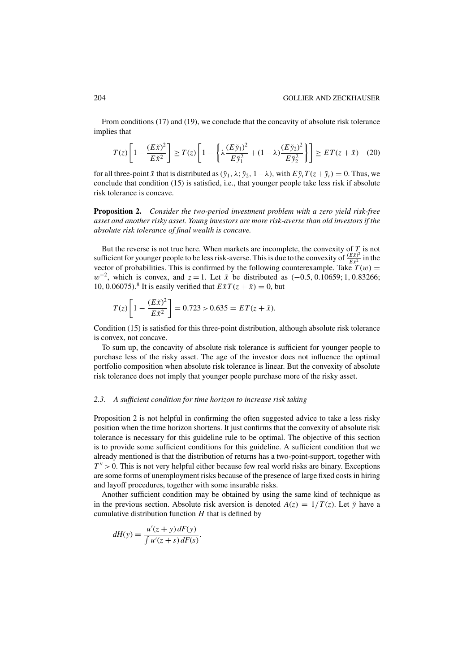From conditions (17) and (19), we conclude that the concavity of absolute risk tolerance implies that

$$
T(z)\left[1-\frac{(E\tilde{x})^2}{E\tilde{x}^2}\right] \ge T(z)\left[1-\left\{\lambda\frac{(E\tilde{y}_1)^2}{E\tilde{y}_1^2} + (1-\lambda)\frac{(E\tilde{y}_2)^2}{E\tilde{y}_2^2}\right\}\right] \ge ET(z+\tilde{x})\tag{20}
$$

for all three-point  $\tilde{x}$  that is distributed as  $(\tilde{y}_1, \lambda; \tilde{y}_2, 1-\lambda)$ , with  $E \tilde{y}_i T(z + \tilde{y}_i) = 0$ . Thus, we conclude that condition (15) is satisfied, i.e., that younger people take less risk if absolute risk tolerance is concave.

**Proposition 2.** *Consider the two-period investment problem with a zero yield risk-free asset and another risky asset. Young investors are more risk-averse than old investors if the absolute risk tolerance of final wealth is concave.*

But the reverse is not true here. When markets are incomplete, the convexity of *T* is not sufficient for younger people to be less risk-averse. This is due to the convexity of  $\frac{(E\bar{x})^2}{E\bar{x}^2}$  in the vector of probabilities. This is confirmed by the following counterexample. Take  $T(w)$  =  $w^{-2}$ , which is convex, and  $z = 1$ . Let  $\tilde{x}$  be distributed as (-0.5, 0.10659; 1, 0.83266; 10, 0.06075).<sup>8</sup> It is easily verified that  $E\tilde{x}T(z + \tilde{x}) = 0$ , but

$$
T(z)\left[1 - \frac{(E\tilde{x})^2}{E\tilde{x}^2}\right] = 0.723 > 0.635 = ET(z + \tilde{x}).
$$

Condition (15) is satisfied for this three-point distribution, although absolute risk tolerance is convex, not concave.

To sum up, the concavity of absolute risk tolerance is sufficient for younger people to purchase less of the risky asset. The age of the investor does not influence the optimal portfolio composition when absolute risk tolerance is linear. But the convexity of absolute risk tolerance does not imply that younger people purchase more of the risky asset.

#### *2.3. A sufficient condition for time horizon to increase risk taking*

Proposition 2 is not helpful in confirming the often suggested advice to take a less risky position when the time horizon shortens. It just confirms that the convexity of absolute risk tolerance is necessary for this guideline rule to be optimal. The objective of this section is to provide some sufficient conditions for this guideline. A sufficient condition that we already mentioned is that the distribution of returns has a two-point-support, together with  $T'' > 0$ . This is not very helpful either because few real world risks are binary. Exceptions are some forms of unemployment risks because of the presence of large fixed costs in hiring and layoff procedures, together with some insurable risks.

Another sufficient condition may be obtained by using the same kind of technique as in the previous section. Absolute risk aversion is denoted  $A(z) = 1/T(z)$ . Let  $\tilde{y}$  have a cumulative distribution function *H* that is defined by

$$
dH(y) = \frac{u'(z+y) dF(y)}{\int u'(z+s) dF(s)}.
$$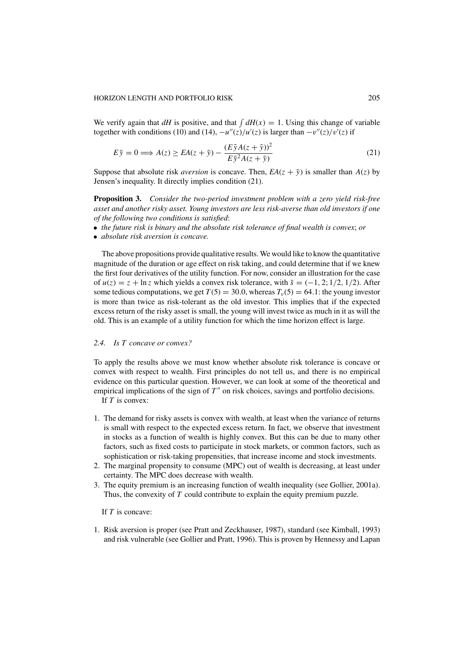We verify again that *dH* is positive, and that  $\int dH(x) = 1$ . Using this change of variable together with conditions (10) and (14),  $-u''(z)/u'(z)$  is larger than  $-v''(z)/v'(z)$  if

$$
E\tilde{y} = 0 \Longrightarrow A(z) \ge EA(z + \tilde{y}) - \frac{(E\tilde{y}A(z + \tilde{y}))^2}{E\tilde{y}^2A(z + \tilde{y})}
$$
(21)

Suppose that absolute risk *aversion* is concave. Then,  $EA(z + \tilde{v})$  is smaller than  $A(z)$  by Jensen's inequality. It directly implies condition (21).

**Proposition 3.** *Consider the two-period investment problem with a zero yield risk-free asset and another risky asset. Young investors are less risk-averse than old investors if one of the following two conditions is satisfied*:

- *the future risk is binary and the absolute risk tolerance of final wealth is convex*; *or*
- *absolute risk aversion is concave.*

The above propositions provide qualitative results. We would like to know the quantitative magnitude of the duration or age effect on risk taking, and could determine that if we knew the first four derivatives of the utility function. For now, consider an illustration for the case of  $u(z) = z + \ln z$  which yields a convex risk tolerance, with  $\tilde{s} = (-1, 2; 1/2, 1/2)$ . After some tedious computations, we get  $T(5) = 30.0$ , whereas  $T_v(5) = 64.1$ : the young investor is more than twice as risk-tolerant as the old investor. This implies that if the expected excess return of the risky asset is small, the young will invest twice as much in it as will the old. This is an example of a utility function for which the time horizon effect is large.

#### *2.4. Is T concave or convex?*

To apply the results above we must know whether absolute risk tolerance is concave or convex with respect to wealth. First principles do not tell us, and there is no empirical evidence on this particular question. However, we can look at some of the theoretical and empirical implications of the sign of *T*<sup>*n*</sup> on risk choices, savings and portfolio decisions. If *T* is convex:

- 1. The demand for risky assets is convex with wealth, at least when the variance of returns is small with respect to the expected excess return. In fact, we observe that investment in stocks as a function of wealth is highly convex. But this can be due to many other factors, such as fixed costs to participate in stock markets, or common factors, such as sophistication or risk-taking propensities, that increase income and stock investments.
- 2. The marginal propensity to consume (MPC) out of wealth is decreasing, at least under certainty. The MPC does decrease with wealth.
- 3. The equity premium is an increasing function of wealth inequality (see Gollier, 2001a). Thus, the convexity of *T* could contribute to explain the equity premium puzzle.

If *T* is concave:

1. Risk aversion is proper (see Pratt and Zeckhauser, 1987), standard (see Kimball, 1993) and risk vulnerable (see Gollier and Pratt, 1996). This is proven by Hennessy and Lapan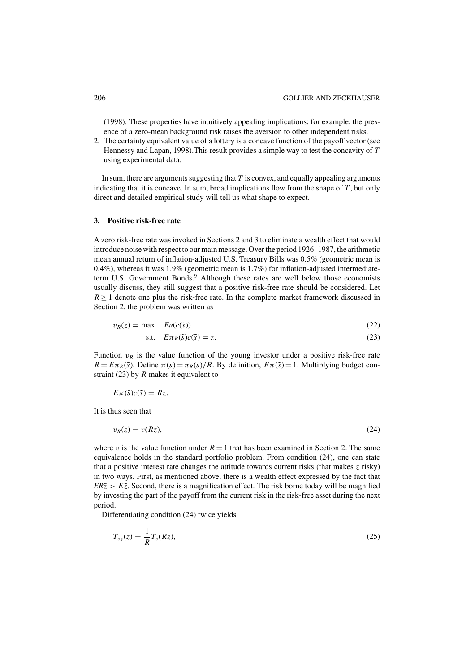(1998). These properties have intuitively appealing implications; for example, the presence of a zero-mean background risk raises the aversion to other independent risks.

2. The certainty equivalent value of a lottery is a concave function of the payoff vector (see Hennessy and Lapan, 1998).This result provides a simple way to test the concavity of *T* using experimental data.

In sum, there are arguments suggesting that *T* is convex, and equally appealing arguments indicating that it is concave. In sum, broad implications flow from the shape of *T* , but only direct and detailed empirical study will tell us what shape to expect.

#### **3. Positive risk-free rate**

A zero risk-free rate was invoked in Sections 2 and 3 to eliminate a wealth effect that would introduce noise with respect to our main message. Over the period 1926–1987, the arithmetic mean annual return of inflation-adjusted U.S. Treasury Bills was 0.5% (geometric mean is  $0.4\%$ ), whereas it was  $1.9\%$  (geometric mean is  $1.7\%$ ) for inflation-adjusted intermediateterm U.S. Government Bonds.<sup>9</sup> Although these rates are well below those economists usually discuss, they still suggest that a positive risk-free rate should be considered. Let  $R \geq 1$  denote one plus the risk-free rate. In the complete market framework discussed in Section 2, the problem was written as

$$
v_R(z) = \max \quad Eu(c(\tilde{s})) \tag{22}
$$

$$
\text{s.t.} \quad E\pi_R(\tilde{s})c(\tilde{s}) = z. \tag{23}
$$

Function  $v_R$  is the value function of the young investor under a positive risk-free rate  $R = E \pi_R(\tilde{s})$ . Define  $\pi(s) = \pi_R(s)/R$ . By definition,  $E \pi(\tilde{s}) = 1$ . Multiplying budget constraint (23) by *R* makes it equivalent to

$$
E\pi(\tilde{s})c(\tilde{s})=Rz.
$$

It is thus seen that

$$
v_R(z) = v(Rz),\tag{24}
$$

where v is the value function under  $R = 1$  that has been examined in Section 2. The same equivalence holds in the standard portfolio problem. From condition (24), one can state that a positive interest rate changes the attitude towards current risks (that makes *z* risky) in two ways. First, as mentioned above, there is a wealth effect expressed by the fact that  $ER\tilde{z} > E\tilde{z}$ . Second, there is a magnification effect. The risk borne today will be magnified by investing the part of the payoff from the current risk in the risk-free asset during the next period.

Differentiating condition (24) twice yields

$$
T_{v_R}(z) = \frac{1}{R}T_v(Rz),\tag{25}
$$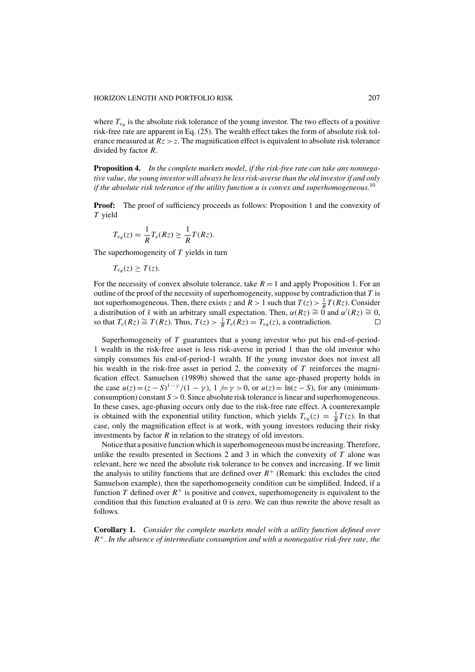where  $T_{v_R}$  is the absolute risk tolerance of the young investor. The two effects of a positive risk-free rate are apparent in Eq. (25). The wealth effect takes the form of absolute risk tolerance measured at  $Rz > z$ . The magnification effect is equivalent to absolute risk tolerance divided by factor *R*.

**Proposition 4.** *In the complete markets model*, *if the risk-free rate can take any nonnegative value*, *the young investor will always be less risk-averse than the old investor if and only if the absolute risk tolerance of the utility function u is convex and superhomogeneous.*<sup>10</sup>

**Proof:** The proof of sufficiency proceeds as follows: Proposition 1 and the convexity of *T* yield

$$
T_{v_R}(z) = \frac{1}{R}T_v(Rz) \ge \frac{1}{R}T(Rz).
$$

The superhomogeneity of *T* yields in turn

$$
T_{v_R}(z) \geq T(z).
$$

For the necessity of convex absolute tolerance, take  $R = 1$  and apply Proposition 1. For an outline of the proof of the necessity of superhomogeneity, suppose by contradiction that *T* is not superhomogeneous. Then, there exists *z* and  $R > 1$  such that  $T(z) > \frac{1}{R}T(Rz)$ . Consider a distribution of  $\tilde{s}$  with an arbitrary small expectation. Then,  $\alpha(Rz) \cong 0$  and  $\alpha'(Rz) \cong 0$ , so that  $T_v(Rz) \cong T(Rz)$ . Thus,  $T(z) > \frac{1}{R}T_v(Rz) = T_{v_R}(z)$ , a contradiction.

Superhomogeneity of *T* guarantees that a young investor who put his end-of-period-1 wealth in the risk-free asset is less risk-averse in period 1 than the old investor who simply consumes his end-of-period-1 wealth. If the young investor does not invest all his wealth in the risk-free asset in period 2, the convexity of *T* reinforces the magnification effect. Samuelson (1989b) showed that the same age-phased property holds in the case  $u(z) = (z - S)^{1 - \gamma}/(1 - \gamma)$ ,  $1 \neq \gamma > 0$ , or  $u(z) = \ln(z - S)$ , for any (minimumconsumption) constant *S* > 0. Since absolute risk tolerance is linear and superhomogeneous. In these cases, age-phasing occurs only due to the risk-free rate effect. A counterexample is obtained with the exponential utility function, which yields  $T_{v_R}(z) = \frac{1}{R}T(z)$ . In that case, only the magnification effect is at work, with young investors reducing their risky investments by factor *R* in relation to the strategy of old investors.

Notice that a positive function which is superhomogeneous must be increasing. Therefore, unlike the results presented in Sections 2 and 3 in which the convexity of *T* alone was relevant, here we need the absolute risk tolerance to be convex and increasing. If we limit the analysis to utility functions that are defined over  $R^+$  (Remark: this excludes the cited Samuelson example), then the superhomogeneity condition can be simplified. Indeed, if a function *T* defined over  $R^+$  is positive and convex, superhomogeneity is equivalent to the condition that this function evaluated at 0 is zero. We can thus rewrite the above result as follows.

**Corollary 1.** *Consider the complete markets model with a utility function defined over R*+*. In the absence of intermediate consumption and with a nonnegative risk-free rate*, *the*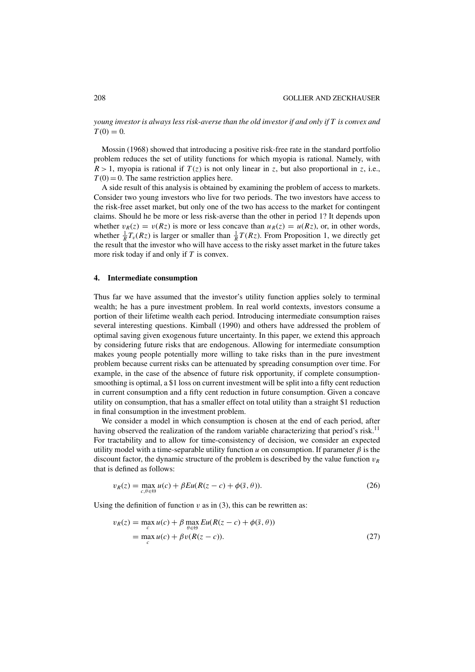*young investor is always less risk-averse than the old investor if and only if T is convex and*  $T(0) = 0.$ 

Mossin (1968) showed that introducing a positive risk-free rate in the standard portfolio problem reduces the set of utility functions for which myopia is rational. Namely, with  $R > 1$ , myopia is rational if  $T(z)$  is not only linear in *z*, but also proportional in *z*, i.e.,  $T(0) = 0$ . The same restriction applies here.

A side result of this analysis is obtained by examining the problem of access to markets. Consider two young investors who live for two periods. The two investors have access to the risk-free asset market, but only one of the two has access to the market for contingent claims. Should he be more or less risk-averse than the other in period 1? It depends upon whether  $v_R(z) = v(Rz)$  is more or less concave than  $u_R(z) = u(Rz)$ , or, in other words, whether  $\frac{1}{R}T_v(Rz)$  is larger or smaller than  $\frac{1}{R}T(Rz)$ . From Proposition 1, we directly get the result that the investor who will have access to the risky asset market in the future takes more risk today if and only if *T* is convex.

### **4. Intermediate consumption**

Thus far we have assumed that the investor's utility function applies solely to terminal wealth; he has a pure investment problem. In real world contexts, investors consume a portion of their lifetime wealth each period. Introducing intermediate consumption raises several interesting questions. Kimball (1990) and others have addressed the problem of optimal saving given exogenous future uncertainty. In this paper, we extend this approach by considering future risks that are endogenous. Allowing for intermediate consumption makes young people potentially more willing to take risks than in the pure investment problem because current risks can be attenuated by spreading consumption over time. For example, in the case of the absence of future risk opportunity, if complete consumptionsmoothing is optimal, a \$1 loss on current investment will be split into a fifty cent reduction in current consumption and a fifty cent reduction in future consumption. Given a concave utility on consumption, that has a smaller effect on total utility than a straight \$1 reduction in final consumption in the investment problem.

We consider a model in which consumption is chosen at the end of each period, after having observed the realization of the random variable characterizing that period's risk.<sup>11</sup> For tractability and to allow for time-consistency of decision, we consider an expected utility model with a time-separable utility function *u* on consumption. If parameter  $\beta$  is the discount factor, the dynamic structure of the problem is described by the value function  $v_R$ that is defined as follows:

$$
v_R(z) = \max_{c, \theta \in \Theta} u(c) + \beta E u(R(z - c) + \phi(\tilde{s}, \theta)).
$$
\n(26)

Using the definition of function  $v$  as in (3), this can be rewritten as:

$$
v_R(z) = \max_c u(c) + \beta \max_{\theta \in \Theta} Eu(R(z - c) + \phi(\tilde{s}, \theta))
$$
  
= 
$$
\max_c u(c) + \beta v(R(z - c)).
$$
 (27)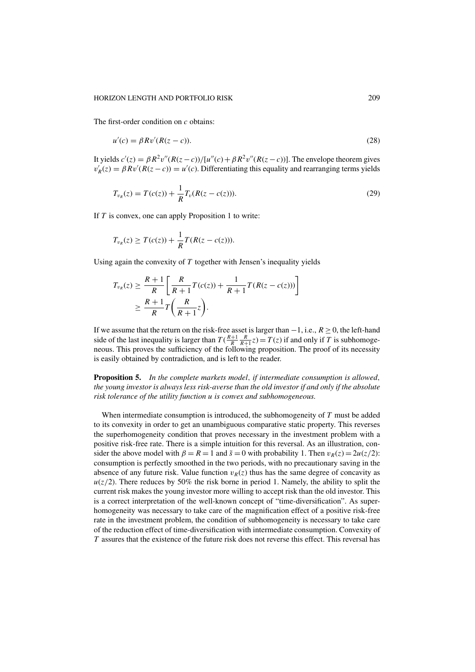The first-order condition on *c* obtains:

$$
u'(c) = \beta R v'(R(z - c)).
$$
\n<sup>(28)</sup>

It yields  $c'(z) = \beta R^2 v''(R(z-c))/[u''(c) + \beta R^2 v''(R(z-c))]$ . The envelope theorem gives  $v'_R(z) = \beta R v'(R(z - c)) = u'(c)$ . Differentiating this equality and rearranging terms yields

$$
T_{v_R}(z) = T(c(z)) + \frac{1}{R}T_v(R(z - c(z))).
$$
\n(29)

If *T* is convex, one can apply Proposition 1 to write:

$$
T_{v_R}(z) \geq T(c(z)) + \frac{1}{R}T(R(z - c(z))).
$$

Using again the convexity of *T* together with Jensen's inequality yields

$$
T_{v_R}(z) \ge \frac{R+1}{R} \left[ \frac{R}{R+1} T(c(z)) + \frac{1}{R+1} T(R(z - c(z))) \right]
$$
  
 
$$
\ge \frac{R+1}{R} T\left(\frac{R}{R+1} z\right).
$$

If we assume that the return on the risk-free asset is larger than  $-1$ , i.e.,  $R ≥ 0$ , the left-hand side of the last inequality is larger than  $T(\frac{R+1}{R} - R) = T(z)$  if and only if *T* is subhomogeneous. This proves the sufficiency of the following proposition. The proof of its necessity is easily obtained by contradiction, and is left to the reader.

**Proposition 5.** *In the complete markets model*, *if intermediate consumption is allowed*, *the young investor is always less risk-averse than the old investor if and only if the absolute risk tolerance of the utility function u is convex and subhomogeneous.*

When intermediate consumption is introduced, the subhomogeneity of *T* must be added to its convexity in order to get an unambiguous comparative static property. This reverses the superhomogeneity condition that proves necessary in the investment problem with a positive risk-free rate. There is a simple intuition for this reversal. As an illustration, consider the above model with  $\beta = R = 1$  and  $\tilde{s} = 0$  with probability 1. Then  $v_R(z) = 2u(z/2)$ : consumption is perfectly smoothed in the two periods, with no precautionary saving in the absence of any future risk. Value function  $v_R(z)$  thus has the same degree of concavity as  $u(z/2)$ . There reduces by 50% the risk borne in period 1. Namely, the ability to split the current risk makes the young investor more willing to accept risk than the old investor. This is a correct interpretation of the well-known concept of "time-diversification". As superhomogeneity was necessary to take care of the magnification effect of a positive risk-free rate in the investment problem, the condition of subhomogeneity is necessary to take care of the reduction effect of time-diversification with intermediate consumption. Convexity of *T* assures that the existence of the future risk does not reverse this effect. This reversal has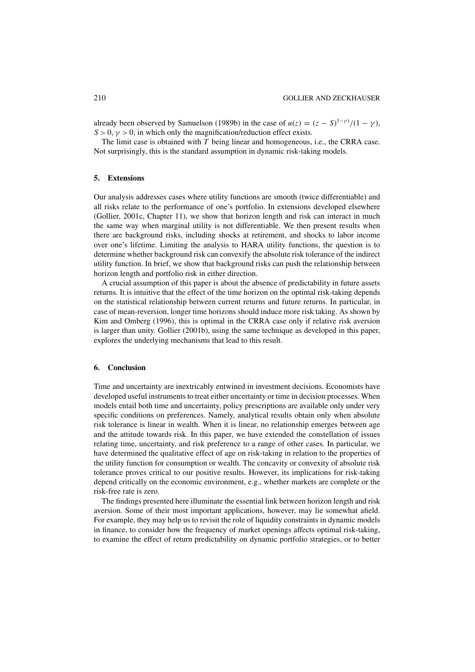already been observed by Samuelson (1989b) in the case of  $u(z) = (z - S)^{1-\gamma} / (1 - \gamma)$ ,  $S > 0$ ,  $\gamma > 0$ , in which only the magnification/reduction effect exists.

The limit case is obtained with *T* being linear and homogeneous, i.e., the CRRA case. Not surprisingly, this is the standard assumption in dynamic risk-taking models.

## **5. Extensions**

Our analysis addresses cases where utility functions are smooth (twice differentiable) and all risks relate to the performance of one's portfolio. In extensions developed elsewhere (Gollier, 2001c, Chapter 11), we show that horizon length and risk can interact in much the same way when marginal utility is not differentiable. We then present results when there are background risks, including shocks at retirement, and shocks to labor income over one's lifetime. Limiting the analysis to HARA utility functions, the question is to determine whether background risk can convexify the absolute risk tolerance of the indirect utility function. In brief, we show that background risks can push the relationship between horizon length and portfolio risk in either direction.

A crucial assumption of this paper is about the absence of predictability in future assets returns. It is intuitive that the effect of the time horizon on the optimal risk-taking depends on the statistical relationship between current returns and future returns. In particular, in case of mean-reversion, longer time horizons should induce more risk taking. As shown by Kim and Omberg (1996), this is optimal in the CRRA case only if relative risk aversion is larger than unity. Gollier (2001b), using the same technique as developed in this paper, explores the underlying mechanisms that lead to this result.

### **6. Conclusion**

Time and uncertainty are inextricably entwined in investment decisions. Economists have developed useful instruments to treat either uncertainty or time in decision processes. When models entail both time and uncertainty, policy prescriptions are available only under very specific conditions on preferences. Namely, analytical results obtain only when absolute risk tolerance is linear in wealth. When it is linear, no relationship emerges between age and the attitude towards risk. In this paper, we have extended the constellation of issues relating time, uncertainty, and risk preference to a range of other cases. In particular, we have determined the qualitative effect of age on risk-taking in relation to the properties of the utility function for consumption or wealth. The concavity or convexity of absolute risk tolerance proves critical to our positive results. However, its implications for risk-taking depend critically on the economic environment, e.g., whether markets are complete or the risk-free rate is zero.

The findings presented here illuminate the essential link between horizon length and risk aversion. Some of their most important applications, however, may lie somewhat afield. For example, they may help us to revisit the role of liquidity constraints in dynamic models in finance, to consider how the frequency of market openings affects optimal risk-taking, to examine the effect of return predictability on dynamic portfolio strategies, or to better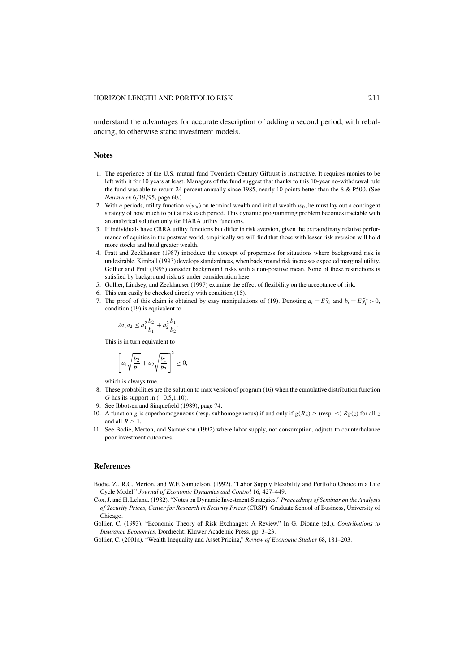understand the advantages for accurate description of adding a second period, with rebalancing, to otherwise static investment models.

## **Notes**

- 1. The experience of the U.S. mutual fund Twentieth Century Giftrust is instructive. It requires monies to be left with it for 10 years at least. Managers of the fund suggest that thanks to this 10-year no-withdrawal rule the fund was able to return 24 percent annually since 1985, nearly 10 points better than the S & P500. (See *Newsweek* 6/19/95, page 60.)
- 2. With *n* periods, utility function  $u(w_n)$  on terminal wealth and initial wealth  $w_0$ , he must lay out a contingent strategy of how much to put at risk each period. This dynamic programming problem becomes tractable with an analytical solution only for HARA utility functions.
- 3. If individuals have CRRA utility functions but differ in risk aversion, given the extraordinary relative performance of equities in the postwar world, empirically we will find that those with lesser risk aversion will hold more stocks and hold greater wealth.
- 4. Pratt and Zeckhauser (1987) introduce the concept of properness for situations where background risk is undesirable. Kimball (1993) develops standardness, when background risk increases expected marginal utility. Gollier and Pratt (1995) consider background risks with a non-positive mean. None of these restrictions is satisfied by background risk α*s*˜ under consideration here.
- 5. Gollier, Lindsey, and Zeckhauser (1997) examine the effect of flexibility on the acceptance of risk.
- 6. This can easily be checked directly with condition (15).
- 7. The proof of this claim is obtained by easy manipulations of (19). Denoting  $a_i = E \tilde{y}_i$  and  $b_i = E \tilde{y}_i^2 > 0$ , condition (19) is equivalent to

$$
2a_1a_2 \le a_1^2\frac{b_2}{b_1} + a_2^2\frac{b_1}{b_2}.
$$

This is in turn equivalent to

$$
\left[a_1\sqrt{\frac{b_2}{b_1}} + a_2\sqrt{\frac{b_1}{b_2}}\right]^2 \ge 0,
$$

which is always true.

- 8. These probabilities are the solution to max version of program (16) when the cumulative distribution function *G* has its support in (−0.5,1,10).
- 9. See Ibbotsen and Sinquefield (1989), page 74.
- 10. A function *g* is superhomogeneous (resp. subhomogeneous) if and only if  $g(Rz) \geq$  (resp.  $\leq$ )  $Rg(z)$  for all *z* and all  $R > 1$ .
- 11. See Bodie, Merton, and Samuelson (1992) where labor supply, not consumption, adjusts to counterbalance poor investment outcomes.

## **References**

- Bodie, Z., R.C. Merton, and W.F. Samuelson. (1992). "Labor Supply Flexibility and Portfolio Choice in a Life Cycle Model," *Journal of Economic Dynamics and Control* 16, 427–449.
- Cox, J. and H. Leland. (1982). "Notes on Dynamic Investment Strategies," *Proceedings of Seminar on the Analysis of Security Prices, Center for Research in Security Prices* (CRSP), Graduate School of Business, University of Chicago.
- Gollier, C. (1993). "Economic Theory of Risk Exchanges: A Review." In G. Dionne (ed.), *Contributions to Insurance Economics.* Dordrecht: Kluwer Academic Press, pp. 3–23.
- Gollier, C. (2001a). "Wealth Inequality and Asset Pricing," *Review of Economic Studies* 68, 181–203.